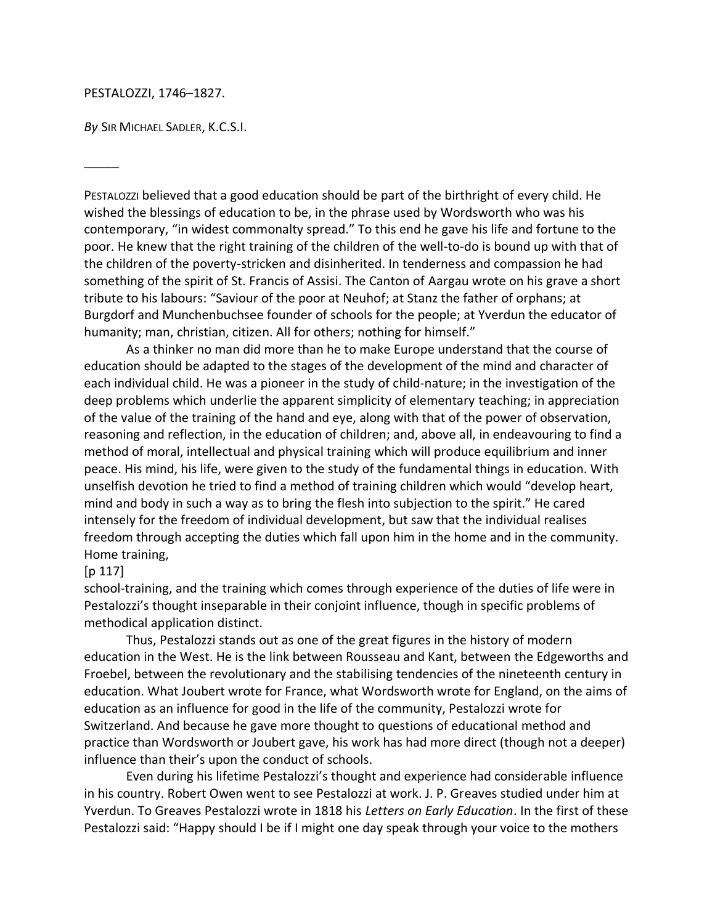## PESTALOZZI, 1746–1827.

 $\overline{\phantom{a}}$ 

*By* SIR MICHAEL SADLER, K.C.S.I.

PESTALOZZI believed that a good education should be part of the birthright of every child. He wished the blessings of education to be, in the phrase used by Wordsworth who was his contemporary, "in widest commonalty spread." To this end he gave his life and fortune to the poor. He knew that the right training of the children of the well-to-do is bound up with that of the children of the poverty-stricken and disinherited. In tenderness and compassion he had something of the spirit of St. Francis of Assisi. The Canton of Aargau wrote on his grave a short tribute to his labours: "Saviour of the poor at Neuhof; at Stanz the father of orphans; at Burgdorf and Munchenbuchsee founder of schools for the people; at Yverdun the educator of humanity; man, christian, citizen. All for others; nothing for himself."

As a thinker no man did more than he to make Europe understand that the course of education should be adapted to the stages of the development of the mind and character of each individual child. He was a pioneer in the study of child-nature; in the investigation of the deep problems which underlie the apparent simplicity of elementary teaching; in appreciation of the value of the training of the hand and eye, along with that of the power of observation, reasoning and reflection, in the education of children; and, above all, in endeavouring to find a method of moral, intellectual and physical training which will produce equilibrium and inner peace. His mind, his life, were given to the study of the fundamental things in education. With unselfish devotion he tried to find a method of training children which would "develop heart, mind and body in such a way as to bring the flesh into subjection to the spirit." He cared intensely for the freedom of individual development, but saw that the individual realises freedom through accepting the duties which fall upon him in the home and in the community. Home training,

## [p 117]

school-training, and the training which comes through experience of the duties of life were in Pestalozzi's thought inseparable in their conjoint influence, though in specific problems of methodical application distinct.

Thus, Pestalozzi stands out as one of the great figures in the history of modern education in the West. He is the link between Rousseau and Kant, between the Edgeworths and Froebel, between the revolutionary and the stabilising tendencies of the nineteenth century in education. What Joubert wrote for France, what Wordsworth wrote for England, on the aims of education as an influence for good in the life of the community, Pestalozzi wrote for Switzerland. And because he gave more thought to questions of educational method and practice than Wordsworth or Joubert gave, his work has had more direct (though not a deeper) influence than their's upon the conduct of schools.

Even during his lifetime Pestalozzi's thought and experience had considerable influence in his country. Robert Owen went to see Pestalozzi at work. J. P. Greaves studied under him at Yverdun. To Greaves Pestalozzi wrote in 1818 his *Letters on Early Education*. In the first of these Pestalozzi said: "Happy should I be if I might one day speak through your voice to the mothers